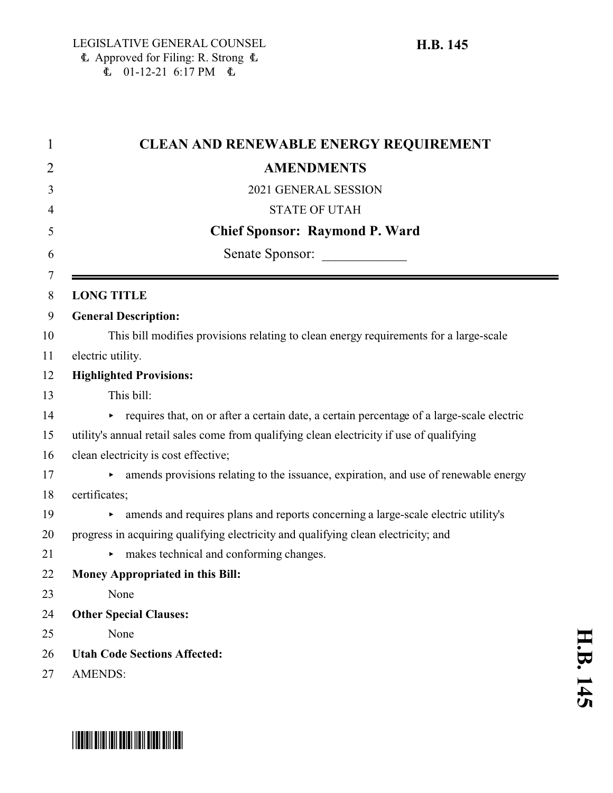# $E$  01-12-21 6:17 PM  $E$  **CLEAN AND RENEWABLE ENERGY REQUIREMENT AMENDMENTS** 2021 GENERAL SESSION STATE OF UTAH **Chief Sponsor: Raymond P. Ward** 6 Senate Sponsor: **LONG TITLE General Description:** This bill modifies provisions relating to clean energy requirements for a large-scale electric utility. **Highlighted Provisions:** This bill: equires that, on or after a certain date, a certain percentage of a large-scale electric utility's annual retail sales come from qualifying clean electricity if use of qualifying clean electricity is cost effective;

- $\rightarrow$  amends provisions relating to the issuance, expiration, and use of renewable energy
- certificates;

- < amends and requires plans and reports concerning a large-scale electric utility's
- progress in acquiring qualifying electricity and qualifying clean electricity; and
- 21 makes technical and conforming changes.
- **Money Appropriated in this Bill:**
- None
- **Other Special Clauses:**
- None
- **Utah Code Sections Affected:**
- AMENDS:

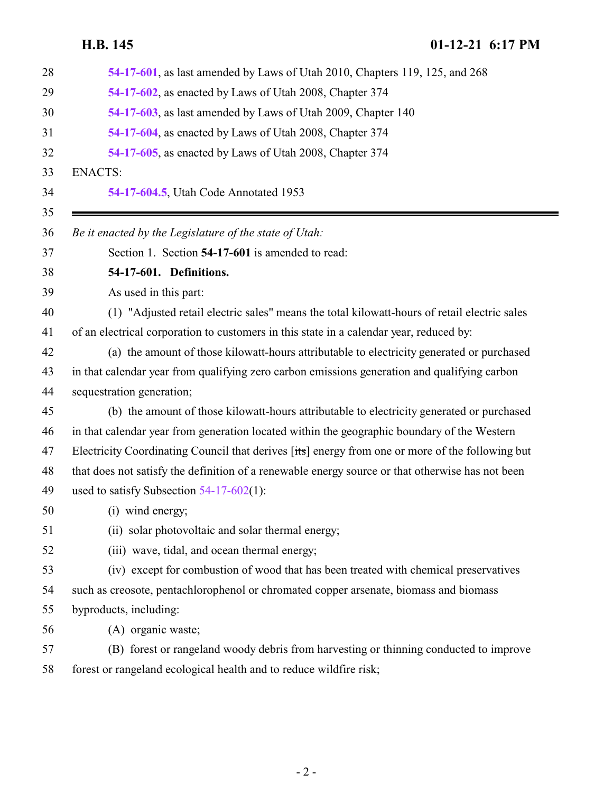<span id="page-1-0"></span>

| 54-17-601, as last amended by Laws of Utah 2010, Chapters 119, 125, and 268                      |
|--------------------------------------------------------------------------------------------------|
| 54-17-602, as enacted by Laws of Utah 2008, Chapter 374                                          |
| 54-17-603, as last amended by Laws of Utah 2009, Chapter 140                                     |
| 54-17-604, as enacted by Laws of Utah 2008, Chapter 374                                          |
| 54-17-605, as enacted by Laws of Utah 2008, Chapter 374                                          |
| <b>ENACTS:</b>                                                                                   |
| 54-17-604.5, Utah Code Annotated 1953                                                            |
| Be it enacted by the Legislature of the state of Utah:                                           |
| Section 1. Section 54-17-601 is amended to read:                                                 |
| 54-17-601. Definitions.                                                                          |
| As used in this part:                                                                            |
| (1) "Adjusted retail electric sales" means the total kilowatt-hours of retail electric sales     |
| of an electrical corporation to customers in this state in a calendar year, reduced by:          |
| (a) the amount of those kilowatt-hours attributable to electricity generated or purchased        |
| in that calendar year from qualifying zero carbon emissions generation and qualifying carbon     |
| sequestration generation;                                                                        |
| (b) the amount of those kilowatt-hours attributable to electricity generated or purchased        |
| in that calendar year from generation located within the geographic boundary of the Western      |
| Electricity Coordinating Council that derives [its] energy from one or more of the following but |
| that does not satisfy the definition of a renewable energy source or that otherwise has not been |
| used to satisfy Subsection $54-17-602(1)$ :                                                      |
| (i) wind energy;                                                                                 |
| (ii) solar photovoltaic and solar thermal energy;                                                |
| (iii) wave, tidal, and ocean thermal energy;                                                     |
| (iv) except for combustion of wood that has been treated with chemical preservatives             |
| such as creosote, pentachlorophenol or chromated copper arsenate, biomass and biomass            |
| byproducts, including:                                                                           |
| (A) organic waste;                                                                               |
| (B) forest or rangeland woody debris from harvesting or thinning conducted to improve            |
| forest or rangeland ecological health and to reduce wildfire risk;                               |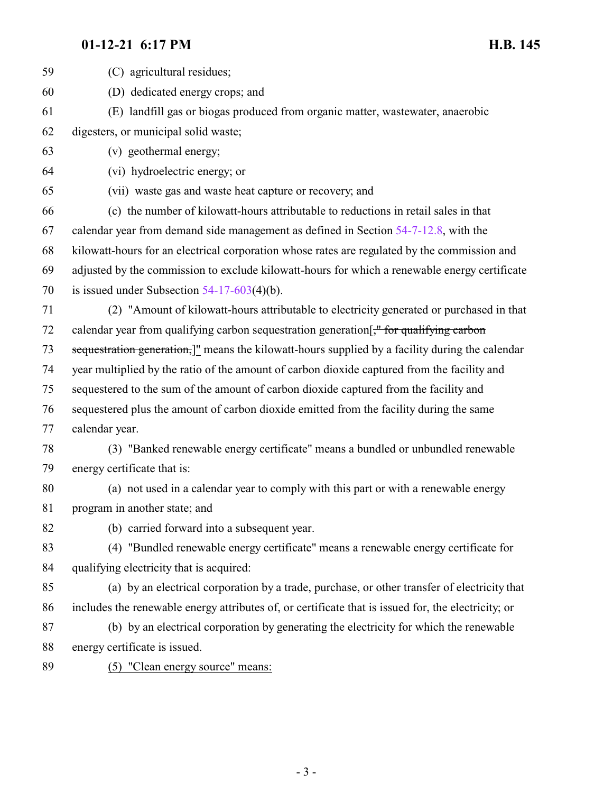| 59 | (C) agricultural residues;                                                                          |
|----|-----------------------------------------------------------------------------------------------------|
| 60 | (D) dedicated energy crops; and                                                                     |
| 61 | (E) landfill gas or biogas produced from organic matter, wastewater, anaerobic                      |
| 62 | digesters, or municipal solid waste;                                                                |
| 63 | (v) geothermal energy;                                                                              |
| 64 | (vi) hydroelectric energy; or                                                                       |
| 65 | (vii) waste gas and waste heat capture or recovery; and                                             |
| 66 | (c) the number of kilowatt-hours attributable to reductions in retail sales in that                 |
| 67 | calendar year from demand side management as defined in Section 54-7-12.8, with the                 |
| 68 | kilowatt-hours for an electrical corporation whose rates are regulated by the commission and        |
| 69 | adjusted by the commission to exclude kilowatt-hours for which a renewable energy certificate       |
| 70 | is issued under Subsection $54-17-603(4)(b)$ .                                                      |
| 71 | (2) "Amount of kilowatt-hours attributable to electricity generated or purchased in that            |
| 72 | calendar year from qualifying carbon sequestration generation - for qualifying carbon               |
| 73 | sequestration generation,]" means the kilowatt-hours supplied by a facility during the calendar     |
| 74 | year multiplied by the ratio of the amount of carbon dioxide captured from the facility and         |
| 75 | sequestered to the sum of the amount of carbon dioxide captured from the facility and               |
| 76 | sequestered plus the amount of carbon dioxide emitted from the facility during the same             |
| 77 | calendar year.                                                                                      |
| 78 | (3) "Banked renewable energy certificate" means a bundled or unbundled renewable                    |
| 79 | energy certificate that is:                                                                         |
| 80 | (a) not used in a calendar year to comply with this part or with a renewable energy                 |
| 81 | program in another state; and                                                                       |
| 82 | (b) carried forward into a subsequent year.                                                         |
| 83 | (4) "Bundled renewable energy certificate" means a renewable energy certificate for                 |
| 84 | qualifying electricity that is acquired:                                                            |
| 85 | (a) by an electrical corporation by a trade, purchase, or other transfer of electricity that        |
| 86 | includes the renewable energy attributes of, or certificate that is issued for, the electricity; or |
| 87 | (b) by an electrical corporation by generating the electricity for which the renewable              |
| 88 | energy certificate is issued.                                                                       |
| 89 | (5) "Clean energy source" means:                                                                    |
|    |                                                                                                     |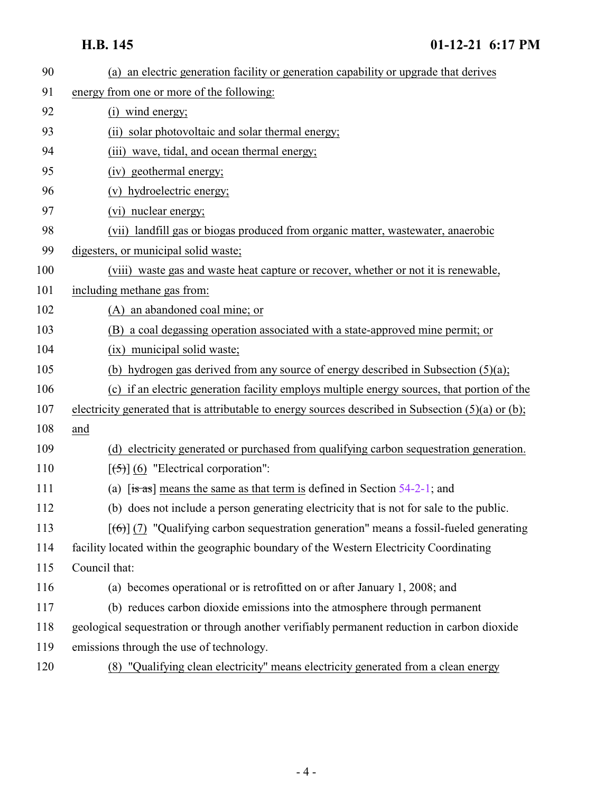| 90  | (a) an electric generation facility or generation capability or upgrade that derives                |
|-----|-----------------------------------------------------------------------------------------------------|
| 91  | energy from one or more of the following:                                                           |
| 92  | (i) wind energy;                                                                                    |
| 93  | (ii) solar photovoltaic and solar thermal energy;                                                   |
| 94  | (iii) wave, tidal, and ocean thermal energy;                                                        |
| 95  | (iv) geothermal energy;                                                                             |
| 96  | (v) hydroelectric energy;                                                                           |
| 97  | (vi) nuclear energy;                                                                                |
| 98  | (vii) landfill gas or biogas produced from organic matter, wastewater, anaerobic                    |
| 99  | digesters, or municipal solid waste;                                                                |
| 100 | (viii) waste gas and waste heat capture or recover, whether or not it is renewable,                 |
| 101 | including methane gas from:                                                                         |
| 102 | (A) an abandoned coal mine; or                                                                      |
| 103 | (B) a coal degassing operation associated with a state-approved mine permit; or                     |
| 104 | (ix) municipal solid waste;                                                                         |
| 105 | (b) hydrogen gas derived from any source of energy described in Subsection $(5)(a)$ ;               |
| 106 | (c) if an electric generation facility employs multiple energy sources, that portion of the         |
| 107 | electricity generated that is attributable to energy sources described in Subsection (5)(a) or (b); |
| 108 | and                                                                                                 |
| 109 | (d) electricity generated or purchased from qualifying carbon sequestration generation.             |
| 110 | $[56]$ (6) "Electrical corporation":                                                                |
| 111 | (a) $[s\rightarrow s]$ means the same as that term is defined in Section 54-2-1; and                |
| 112 | (b) does not include a person generating electricity that is not for sale to the public.            |
| 113 | $[\text{f6}]$ (7) "Qualifying carbon sequestration generation" means a fossil-fueled generating     |
| 114 | facility located within the geographic boundary of the Western Electricity Coordinating             |
| 115 | Council that:                                                                                       |
| 116 | (a) becomes operational or is retrofitted on or after January 1, 2008; and                          |
| 117 | (b) reduces carbon dioxide emissions into the atmosphere through permanent                          |
| 118 | geological sequestration or through another verifiably permanent reduction in carbon dioxide        |
| 119 | emissions through the use of technology.                                                            |
| 120 | (8) "Qualifying clean electricity" means electricity generated from a clean energy                  |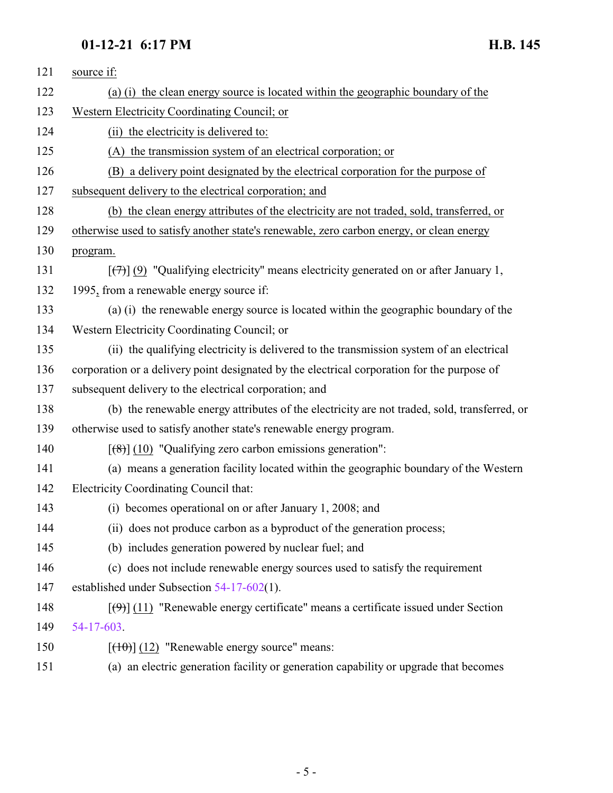| (a) (i) the clean energy source is located within the geographic boundary of the                   |
|----------------------------------------------------------------------------------------------------|
| Western Electricity Coordinating Council; or                                                       |
| (ii) the electricity is delivered to:                                                              |
| (A) the transmission system of an electrical corporation; or                                       |
| (B) a delivery point designated by the electrical corporation for the purpose of                   |
| subsequent delivery to the electrical corporation; and                                             |
| (b) the clean energy attributes of the electricity are not traded, sold, transferred, or           |
| otherwise used to satisfy another state's renewable, zero carbon energy, or clean energy           |
| program.                                                                                           |
| $[\overline{(+)}]$ (9) "Qualifying electricity" means electricity generated on or after January 1, |
| 1995, from a renewable energy source if:                                                           |
| (a) (i) the renewable energy source is located within the geographic boundary of the               |
| Western Electricity Coordinating Council; or                                                       |
| (ii) the qualifying electricity is delivered to the transmission system of an electrical           |
| corporation or a delivery point designated by the electrical corporation for the purpose of        |
| subsequent delivery to the electrical corporation; and                                             |
| (b) the renewable energy attributes of the electricity are not traded, sold, transferred, or       |
| otherwise used to satisfy another state's renewable energy program.                                |
| $[$ (8)] (10) "Qualifying zero carbon emissions generation":                                       |
| (a) means a generation facility located within the geographic boundary of the Western              |
| Electricity Coordinating Council that:                                                             |
| (i) becomes operational on or after January 1, 2008; and                                           |
| (ii) does not produce carbon as a byproduct of the generation process;                             |
| (b) includes generation powered by nuclear fuel; and                                               |
| (c) does not include renewable energy sources used to satisfy the requirement                      |
| established under Subsection $54-17-602(1)$ .                                                      |
| $[\langle 9 \rangle]$ (11) "Renewable energy certificate" means a certificate issued under Section |
| 54-17-603.                                                                                         |
| $[({10})]$ (12) "Renewable energy source" means:                                                   |
| (a) an electric generation facility or generation capability or upgrade that becomes               |
|                                                                                                    |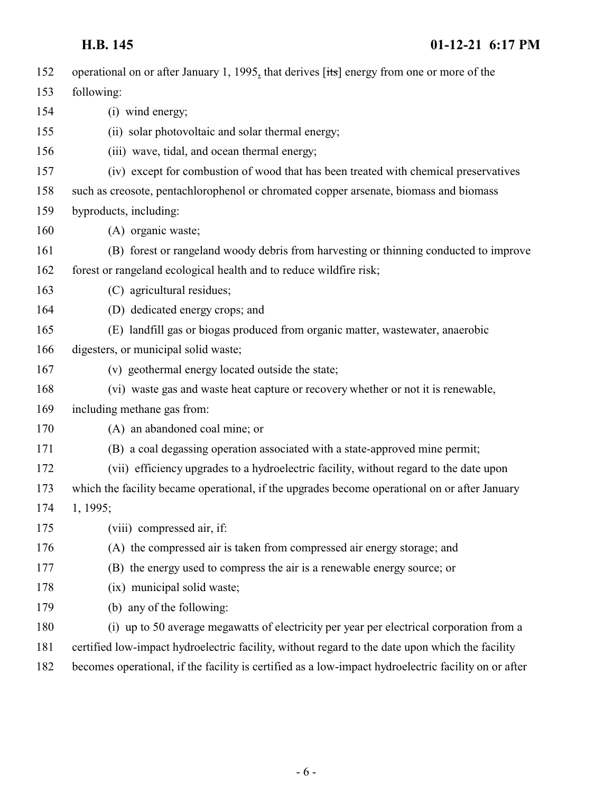| 152 | operational on or after January 1, 1995, that derives [its] energy from one or more of the           |
|-----|------------------------------------------------------------------------------------------------------|
| 153 | following:                                                                                           |
| 154 | (i) wind energy;                                                                                     |
| 155 | (ii) solar photovoltaic and solar thermal energy;                                                    |
| 156 | (iii) wave, tidal, and ocean thermal energy;                                                         |
| 157 | (iv) except for combustion of wood that has been treated with chemical preservatives                 |
| 158 | such as creosote, pentachlorophenol or chromated copper arsenate, biomass and biomass                |
| 159 | byproducts, including:                                                                               |
| 160 | (A) organic waste;                                                                                   |
| 161 | (B) forest or rangeland woody debris from harvesting or thinning conducted to improve                |
| 162 | forest or rangeland ecological health and to reduce wildfire risk;                                   |
| 163 | (C) agricultural residues;                                                                           |
| 164 | (D) dedicated energy crops; and                                                                      |
| 165 | (E) landfill gas or biogas produced from organic matter, wastewater, anaerobic                       |
| 166 | digesters, or municipal solid waste;                                                                 |
| 167 | (v) geothermal energy located outside the state;                                                     |
| 168 | (vi) waste gas and waste heat capture or recovery whether or not it is renewable,                    |
| 169 | including methane gas from:                                                                          |
| 170 | (A) an abandoned coal mine; or                                                                       |
| 171 | (B) a coal degassing operation associated with a state-approved mine permit;                         |
| 172 | (vii) efficiency upgrades to a hydroelectric facility, without regard to the date upon               |
| 173 | which the facility became operational, if the upgrades become operational on or after January        |
| 174 | 1, 1995;                                                                                             |
| 175 | (viii) compressed air, if:                                                                           |
| 176 | (A) the compressed air is taken from compressed air energy storage; and                              |
| 177 | (B) the energy used to compress the air is a renewable energy source; or                             |
| 178 | (ix) municipal solid waste;                                                                          |
| 179 | (b) any of the following:                                                                            |
| 180 | (i) up to 50 average megawatts of electricity per year per electrical corporation from a             |
| 181 | certified low-impact hydroelectric facility, without regard to the date upon which the facility      |
| 182 | becomes operational, if the facility is certified as a low-impact hydroelectric facility on or after |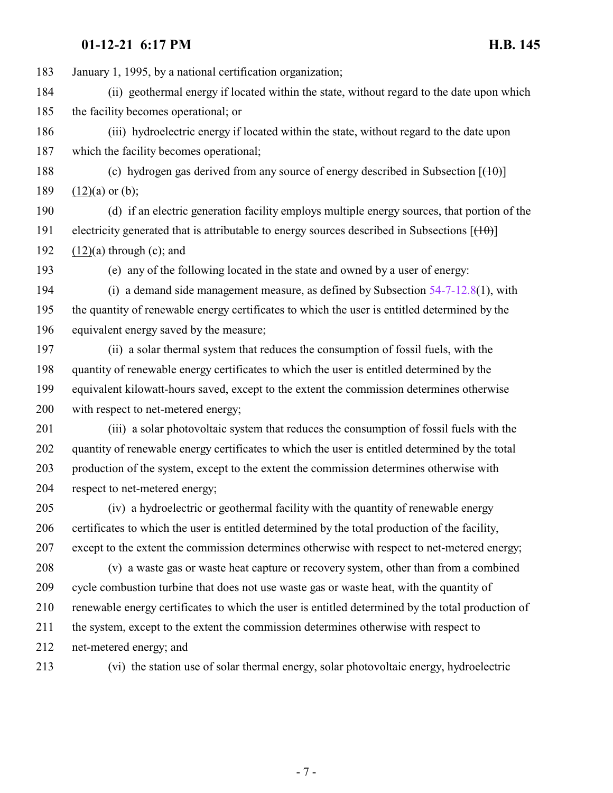January 1, 1995, by a national certification organization;

 (ii) geothermal energy if located within the state, without regard to the date upon which the facility becomes operational; or

 (iii) hydroelectric energy if located within the state, without regard to the date upon which the facility becomes operational;

188 (c) hydrogen gas derived from any source of energy described in Subsection  $[({10}$ 189  $(12)(a)$  or (b);

 (d) if an electric generation facility employs multiple energy sources, that portion of the 191 electricity generated that is attributable to energy sources described in Subsections  $[(10)]$ 192  $(12)(a)$  through  $(c)$ ; and

(e) any of the following located in the state and owned by a user of energy:

 (i) a demand side management measure, as defined by Subsection [54-7-12.8](http://le.utah.gov/UtahCode/SectionLookup.jsp?section=54-7-12.8&session=2021GS)(1), with the quantity of renewable energy certificates to which the user is entitled determined by the equivalent energy saved by the measure;

 (ii) a solar thermal system that reduces the consumption of fossil fuels, with the quantity of renewable energy certificates to which the user is entitled determined by the equivalent kilowatt-hours saved, except to the extent the commission determines otherwise with respect to net-metered energy;

 (iii) a solar photovoltaic system that reduces the consumption of fossil fuels with the quantity of renewable energy certificates to which the user is entitled determined by the total production of the system, except to the extent the commission determines otherwise with respect to net-metered energy;

 (iv) a hydroelectric or geothermal facility with the quantity of renewable energy certificates to which the user is entitled determined by the total production of the facility, except to the extent the commission determines otherwise with respect to net-metered energy;

 (v) a waste gas or waste heat capture or recovery system, other than from a combined cycle combustion turbine that does not use waste gas or waste heat, with the quantity of renewable energy certificates to which the user is entitled determined by the total production of the system, except to the extent the commission determines otherwise with respect to net-metered energy; and

(vi) the station use of solar thermal energy, solar photovoltaic energy, hydroelectric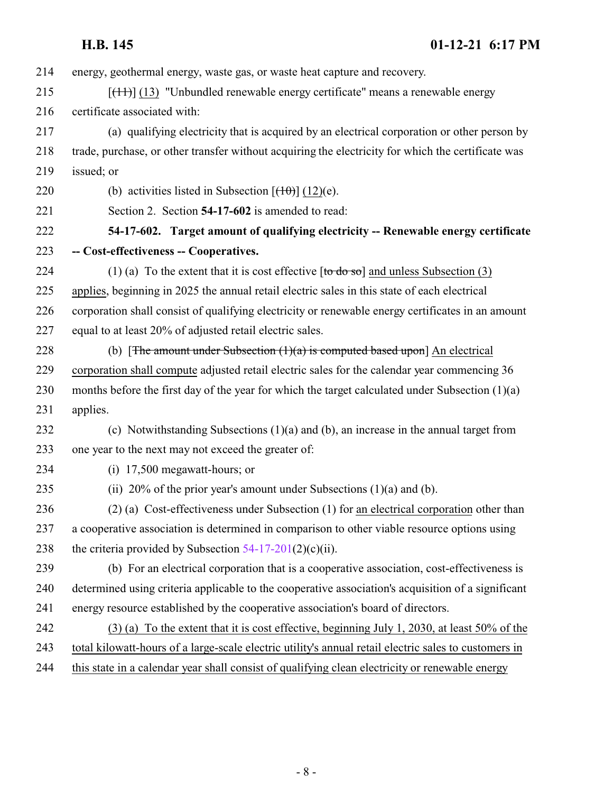energy, geothermal energy, waste gas, or waste heat capture and recovery.

215  $[(11)(13)$  "Unbundled renewable energy certificate" means a renewable energy certificate associated with:

 (a) qualifying electricity that is acquired by an electrical corporation or other person by trade, purchase, or other transfer without acquiring the electricity for which the certificate was issued; or

220 (b) activities listed in Subsection  $[(10)(e)]$ .

<span id="page-7-0"></span>

Section 2. Section **54-17-602** is amended to read:

 **54-17-602. Target amount of qualifying electricity -- Renewable energy certificate -- Cost-effectiveness -- Cooperatives.**

224 (1) (a) To the extent that it is cost effective  $[t<sub>o</sub> d<sub>o</sub> s<sub>o</sub>]$  and unless Subsection (3) applies, beginning in 2025 the annual retail electric sales in this state of each electrical corporation shall consist of qualifying electricity or renewable energy certificates in an amount equal to at least 20% of adjusted retail electric sales.

228 (b) [The amount under Subsection  $(1)(a)$  is computed based upon] An electrical corporation shall compute adjusted retail electric sales for the calendar year commencing 36 months before the first day of the year for which the target calculated under Subsection (1)(a) applies.

 (c) Notwithstanding Subsections (1)(a) and (b), an increase in the annual target from one year to the next may not exceed the greater of:

(i) 17,500 megawatt-hours; or

(ii) 20% of the prior year's amount under Subsections (1)(a) and (b).

 (2) (a) Cost-effectiveness under Subsection (1) for an electrical corporation other than a cooperative association is determined in comparison to other viable resource options using 238 the criteria provided by Subsection  $54-17-201(2)(c)(ii)$ .

 (b) For an electrical corporation that is a cooperative association, cost-effectiveness is determined using criteria applicable to the cooperative association's acquisition of a significant energy resource established by the cooperative association's board of directors.

 (3) (a) To the extent that it is cost effective, beginning July 1, 2030, at least 50% of the total kilowatt-hours of a large-scale electric utility's annual retail electric sales to customers in

this state in a calendar year shall consist of qualifying clean electricity or renewable energy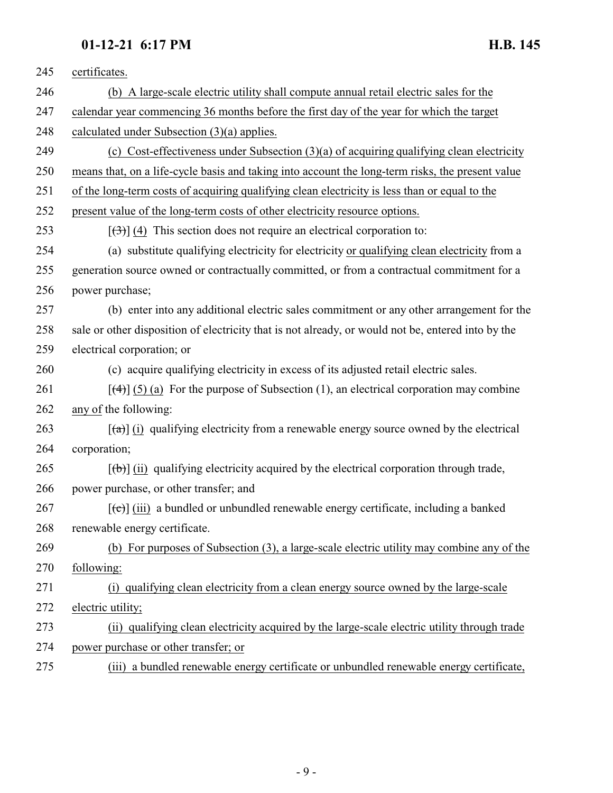| 245 | certificates.                                                                                                |
|-----|--------------------------------------------------------------------------------------------------------------|
| 246 | (b) A large-scale electric utility shall compute annual retail electric sales for the                        |
| 247 | calendar year commencing 36 months before the first day of the year for which the target                     |
| 248 | calculated under Subsection $(3)(a)$ applies.                                                                |
| 249 | (c) Cost-effectiveness under Subsection $(3)(a)$ of acquiring qualifying clean electricity                   |
| 250 | means that, on a life-cycle basis and taking into account the long-term risks, the present value             |
| 251 | of the long-term costs of acquiring qualifying clean electricity is less than or equal to the                |
| 252 | present value of the long-term costs of other electricity resource options.                                  |
| 253 | $[\left(\frac{1}{2}\right)]$ (4) This section does not require an electrical corporation to:                 |
| 254 | (a) substitute qualifying electricity for electricity or qualifying clean electricity from a                 |
| 255 | generation source owned or contractually committed, or from a contractual commitment for a                   |
| 256 | power purchase;                                                                                              |
| 257 | (b) enter into any additional electric sales commitment or any other arrangement for the                     |
| 258 | sale or other disposition of electricity that is not already, or would not be, entered into by the           |
| 259 | electrical corporation; or                                                                                   |
| 260 | (c) acquire qualifying electricity in excess of its adjusted retail electric sales.                          |
| 261 | $[\frac{4}{3}]$ (5) (a) For the purpose of Subsection (1), an electrical corporation may combine             |
| 262 | any of the following:                                                                                        |
| 263 | $\left[\frac{1}{2}\right]$ (i) qualifying electricity from a renewable energy source owned by the electrical |
| 264 | corporation;                                                                                                 |
| 265 | $[\phi]$ (ii) qualifying electricity acquired by the electrical corporation through trade,                   |
| 266 | power purchase, or other transfer; and                                                                       |
| 267 | $[\text{(-c)}]$ (iii) a bundled or unbundled renewable energy certificate, including a banked                |
| 268 | renewable energy certificate.                                                                                |
| 269 | (b) For purposes of Subsection (3), a large-scale electric utility may combine any of the                    |
| 270 | following:                                                                                                   |
| 271 | (i) qualifying clean electricity from a clean energy source owned by the large-scale                         |
| 272 | electric utility;                                                                                            |
| 273 | (ii) qualifying clean electricity acquired by the large-scale electric utility through trade                 |
| 274 | power purchase or other transfer; or                                                                         |
| 275 | (iii) a bundled renewable energy certificate or unbundled renewable energy certificate,                      |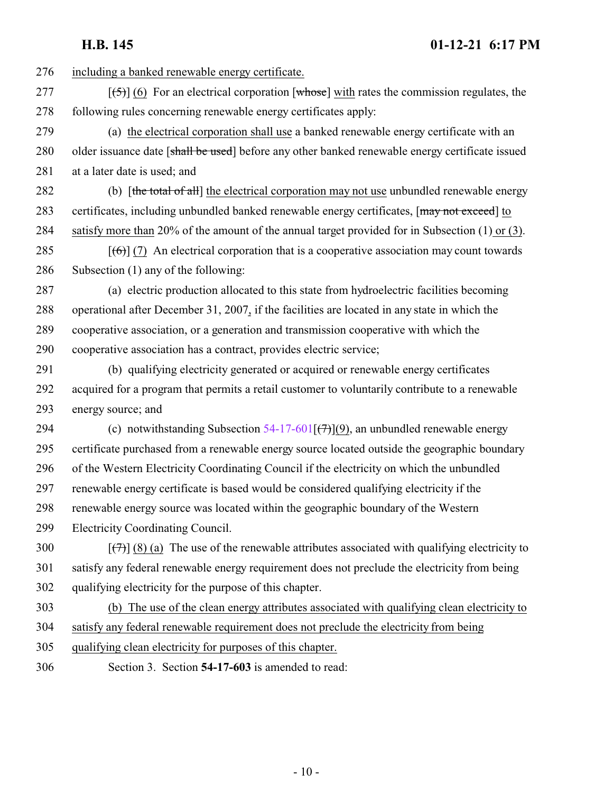<span id="page-9-0"></span>

**H.B. 145 01-12-21 6:17 PM** including a banked renewable energy certificate.  $\left[\left(\frac{5}{5}\right)\right]$  (6) For an electrical corporation [whose] with rates the commission regulates, the following rules concerning renewable energy certificates apply: (a) the electrical corporation shall use a banked renewable energy certificate with an 280 older issuance date [shall be used] before any other banked renewable energy certificate issued at a later date is used; and 282 (b) [the total of all] the electrical corporation may not use unbundled renewable energy 283 certificates, including unbundled banked renewable energy certificates, [may not exceed] to satisfy more than 20% of the amount of the annual target provided for in Subsection (1) or (3).  $[(6)]$  (7) An electrical corporation that is a cooperative association may count towards Subsection (1) any of the following: (a) electric production allocated to this state from hydroelectric facilities becoming operational after December 31, 2007, if the facilities are located in any state in which the cooperative association, or a generation and transmission cooperative with which the cooperative association has a contract, provides electric service; (b) qualifying electricity generated or acquired or renewable energy certificates acquired for a program that permits a retail customer to voluntarily contribute to a renewable energy source; and 294 (c) notwithstanding Subsection  $54-17-601$   $(\rightarrow)$  an unbundled renewable energy certificate purchased from a renewable energy source located outside the geographic boundary of the Western Electricity Coordinating Council if the electricity on which the unbundled renewable energy certificate is based would be considered qualifying electricity if the renewable energy source was located within the geographic boundary of the Western Electricity Coordinating Council.  $\left[\left(\frac{7}{7}\right)\right]$  (8) (a) The use of the renewable attributes associated with qualifying electricity to satisfy any federal renewable energy requirement does not preclude the electricity from being qualifying electricity for the purpose of this chapter. (b) The use of the clean energy attributes associated with qualifying clean electricity to satisfy any federal renewable requirement does not preclude the electricity from being qualifying clean electricity for purposes of this chapter. Section 3. Section **54-17-603** is amended to read: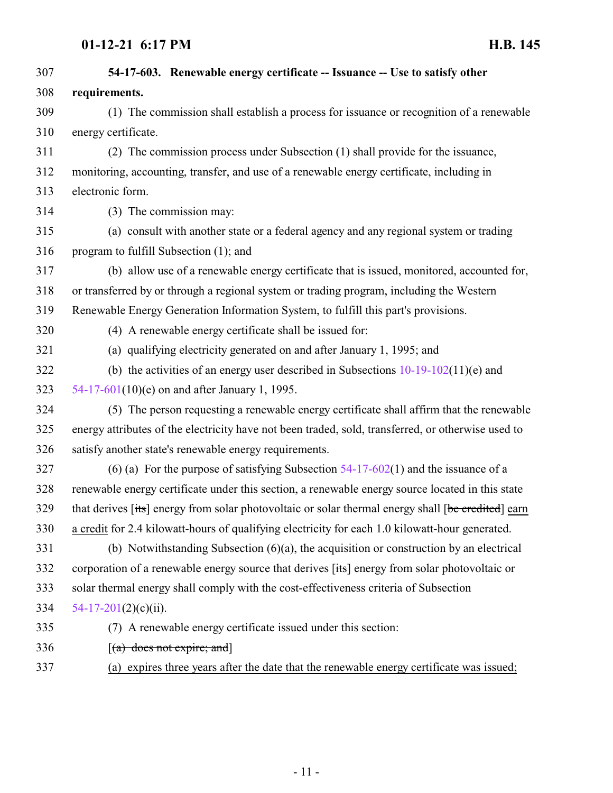| 307 | 54-17-603. Renewable energy certificate -- Issuance -- Use to satisfy other                        |
|-----|----------------------------------------------------------------------------------------------------|
| 308 | requirements.                                                                                      |
| 309 | (1) The commission shall establish a process for issuance or recognition of a renewable            |
| 310 | energy certificate.                                                                                |
| 311 | (2) The commission process under Subsection (1) shall provide for the issuance,                    |
| 312 | monitoring, accounting, transfer, and use of a renewable energy certificate, including in          |
| 313 | electronic form.                                                                                   |
| 314 | (3) The commission may:                                                                            |
| 315 | (a) consult with another state or a federal agency and any regional system or trading              |
| 316 | program to fulfill Subsection (1); and                                                             |
| 317 | (b) allow use of a renewable energy certificate that is issued, monitored, accounted for,          |
| 318 | or transferred by or through a regional system or trading program, including the Western           |
| 319 | Renewable Energy Generation Information System, to fulfill this part's provisions.                 |
| 320 | (4) A renewable energy certificate shall be issued for:                                            |
| 321 | (a) qualifying electricity generated on and after January 1, 1995; and                             |
| 322 | (b) the activities of an energy user described in Subsections $10-19-102(11)$ (e) and              |
| 323 | 54-17-601(10)(e) on and after January 1, 1995.                                                     |
| 324 | (5) The person requesting a renewable energy certificate shall affirm that the renewable           |
| 325 | energy attributes of the electricity have not been traded, sold, transferred, or otherwise used to |
| 326 | satisfy another state's renewable energy requirements.                                             |
| 327 | (6) (a) For the purpose of satisfying Subsection $54-17-602(1)$ and the issuance of a              |
| 328 | renewable energy certificate under this section, a renewable energy source located in this state   |
| 329 | that derives [its] energy from solar photovoltaic or solar thermal energy shall [be credited] earn |
| 330 | a credit for 2.4 kilowatt-hours of qualifying electricity for each 1.0 kilowatt-hour generated.    |
| 331 | (b) Notwithstanding Subsection $(6)(a)$ , the acquisition or construction by an electrical         |
| 332 | corporation of a renewable energy source that derives [its] energy from solar photovoltaic or      |
| 333 | solar thermal energy shall comply with the cost-effectiveness criteria of Subsection               |
| 334 | $54-17-201(2)(c)(ii)$ .                                                                            |
| 335 | (7) A renewable energy certificate issued under this section:                                      |
| 336 | $[(a)$ does not expire; and                                                                        |
| 337 | (a) expires three years after the date that the renewable energy certificate was issued;           |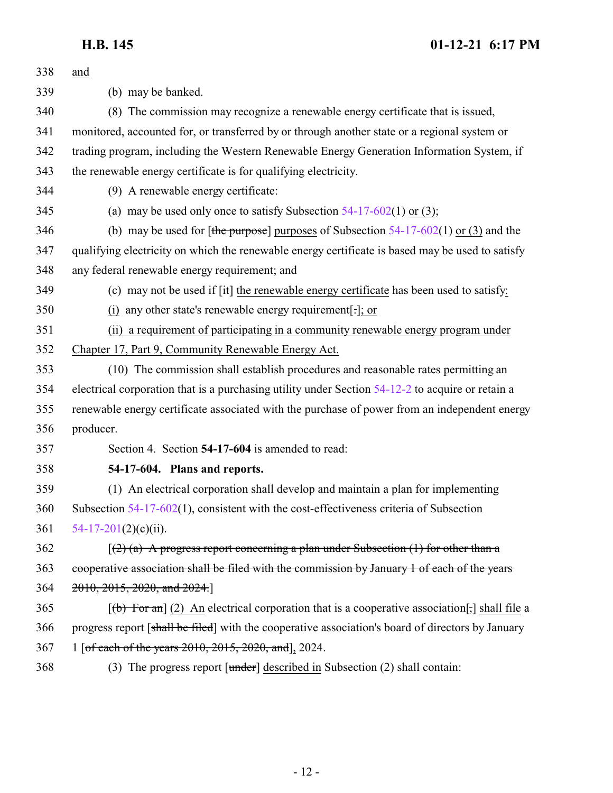<span id="page-11-0"></span>

| 338 | and                                                                                                           |
|-----|---------------------------------------------------------------------------------------------------------------|
| 339 | (b) may be banked.                                                                                            |
| 340 | (8) The commission may recognize a renewable energy certificate that is issued,                               |
| 341 | monitored, accounted for, or transferred by or through another state or a regional system or                  |
| 342 | trading program, including the Western Renewable Energy Generation Information System, if                     |
| 343 | the renewable energy certificate is for qualifying electricity.                                               |
| 344 | (9) A renewable energy certificate:                                                                           |
| 345 | (a) may be used only once to satisfy Subsection $54-17-602(1)$ or (3);                                        |
| 346 | (b) may be used for [the purpose] purposes of Subsection $54-17-602(1)$ or (3) and the                        |
| 347 | qualifying electricity on which the renewable energy certificate is based may be used to satisfy              |
| 348 | any federal renewable energy requirement; and                                                                 |
| 349 | (c) may not be used if $\left[\frac{it}{t}\right]$ the renewable energy certificate has been used to satisfy: |
| 350 | (i) any other state's renewable energy requirement[ $\cdot$ ]; or                                             |
| 351 | (ii) a requirement of participating in a community renewable energy program under                             |
| 352 | Chapter 17, Part 9, Community Renewable Energy Act.                                                           |
| 353 | (10) The commission shall establish procedures and reasonable rates permitting an                             |
| 354 | electrical corporation that is a purchasing utility under Section 54-12-2 to acquire or retain a              |
| 355 | renewable energy certificate associated with the purchase of power from an independent energy                 |
| 356 | producer.                                                                                                     |
| 357 | Section 4. Section 54-17-604 is amended to read:                                                              |
| 358 | 54-17-604. Plans and reports.                                                                                 |
| 359 | (1) An electrical corporation shall develop and maintain a plan for implementing                              |
| 360 | Subsection $54-17-602(1)$ , consistent with the cost-effectiveness criteria of Subsection                     |
| 361 | $54-17-201(2)(c)(ii)$ .                                                                                       |
| 362 | $(2)$ (a) A progress report concerning a plan under Subsection (1) for other than a                           |
| 363 | cooperative association shall be filed with the commission by January 1 of each of the years                  |
| 364 | $2010, 2015, 2020,$ and $2024$ .                                                                              |
| 365 | $\lceil (b)$ For an] (2) An electrical corporation that is a cooperative association $\lceil$ , shall file a  |
| 366 | progress report [shall be filed] with the cooperative association's board of directors by January             |
| 367 | 1 [of each of the years 2010, 2015, 2020, and], 2024.                                                         |
| 368 | (3) The progress report $[\text{under}]$ described in Subsection (2) shall contain:                           |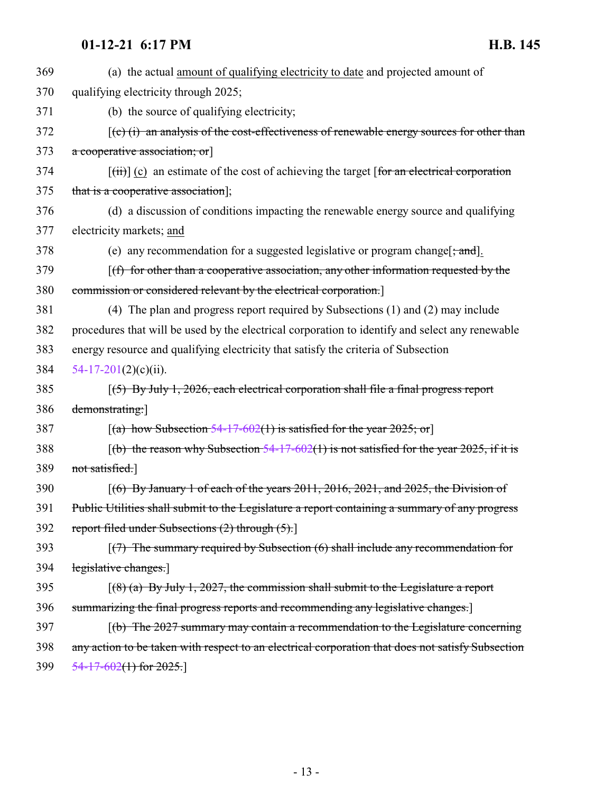| 369 | (a) the actual amount of qualifying electricity to date and projected amount of                                             |
|-----|-----------------------------------------------------------------------------------------------------------------------------|
| 370 | qualifying electricity through 2025;                                                                                        |
| 371 | (b) the source of qualifying electricity;                                                                                   |
| 372 | $(c)$ (i) an analysis of the cost-effectiveness of renewable energy sources for other than                                  |
| 373 | a cooperative association; or                                                                                               |
| 374 | $[\overrightarrow{tii}]$ (c) an estimate of the cost of achieving the target [for an electrical corporation                 |
| 375 | that is a cooperative association];                                                                                         |
| 376 | (d) a discussion of conditions impacting the renewable energy source and qualifying                                         |
| 377 | electricity markets; and                                                                                                    |
| 378 | (e) any recommendation for a suggested legislative or program change $\left[\frac{1}{2}, \frac{1}{2}, \frac{1}{2}\right]$ . |
| 379 | $(f)$ for other than a cooperative association, any other information requested by the                                      |
| 380 | commission or considered relevant by the electrical corporation.                                                            |
| 381 | (4) The plan and progress report required by Subsections (1) and (2) may include                                            |
| 382 | procedures that will be used by the electrical corporation to identify and select any renewable                             |
| 383 | energy resource and qualifying electricity that satisfy the criteria of Subsection                                          |
| 384 | $54-17-201(2)(c)(ii)$ .                                                                                                     |
| 385 | $(5)$ By July 1, 2026, each electrical corporation shall file a final progress report                                       |
| 386 | demonstrating:]                                                                                                             |
| 387 | [(a) how Subsection $54-17-602(1)$ is satisfied for the year 2025; or]                                                      |
| 388 | $(6)$ the reason why Subsection 54-17-602(1) is not satisfied for the year 2025, if it is                                   |
| 389 | not satisfied.]                                                                                                             |
| 390 | $(6)$ By January 1 of each of the years 2011, 2016, 2021, and 2025, the Division of                                         |
| 391 | Public Utilities shall submit to the Legislature a report containing a summary of any progress                              |
| 392 | report filed under Subsections (2) through (5).]                                                                            |
| 393 | $(7)$ The summary required by Subsection $(6)$ shall include any recommendation for                                         |
| 394 | legislative changes.                                                                                                        |
| 395 | $(8)$ (a) By July 1, 2027, the commission shall submit to the Legislature a report                                          |
| 396 | summarizing the final progress reports and recommending any legislative changes.                                            |
| 397 | $(6)$ The 2027 summary may contain a recommendation to the Legislature concerning                                           |
| 398 | any action to be taken with respect to an electrical corporation that does not satisfy Subsection                           |
| 399 | $\frac{54-17-602(1)$ for 2025.                                                                                              |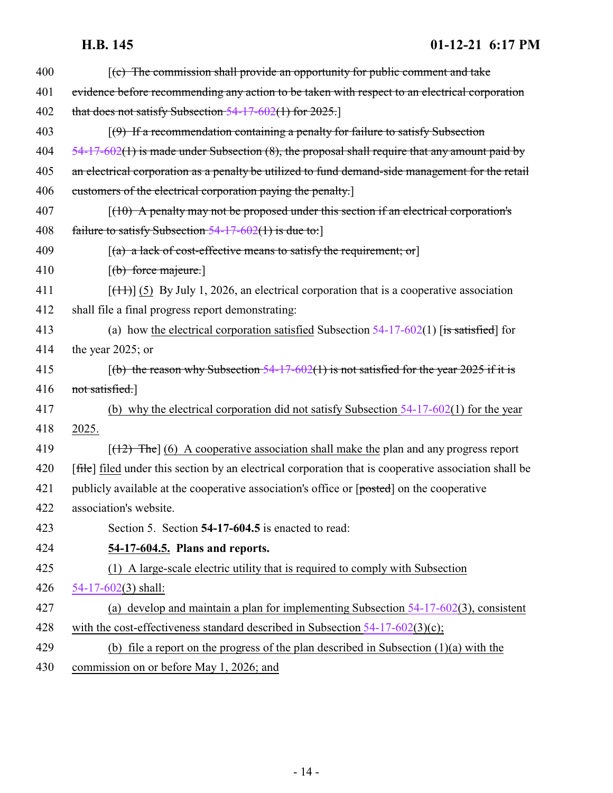<span id="page-13-0"></span>

| 400 | $(c)$ The commission shall provide an opportunity for public comment and take                         |
|-----|-------------------------------------------------------------------------------------------------------|
| 401 | evidence before recommending any action to be taken with respect to an electrical corporation         |
| 402 | that does not satisfy Subsection $54-17-602(1)$ for $2025$ .                                          |
| 403 | $(9)$ If a recommendation containing a penalty for failure to satisfy Subsection                      |
| 404 | $54-17-602(1)$ is made under Subsection (8), the proposal shall require that any amount paid by       |
| 405 | an electrical corporation as a penalty be utilized to fund demand-side management for the retail      |
| 406 | customers of the electrical corporation paying the penalty.                                           |
| 407 | $(10)$ A penalty may not be proposed under this section if an electrical corporation's                |
| 408 | failure to satisfy Subsection $54-17-602(1)$ is due to:                                               |
| 409 | $[(a)$ a lack of cost-effective means to satisfy the requirement; or                                  |
| 410 | $[\text{(\textit{b}) force}\,\text{majeure.}]$                                                        |
| 411 | $[ (11) ]$ (5) By July 1, 2026, an electrical corporation that is a cooperative association           |
| 412 | shall file a final progress report demonstrating:                                                     |
| 413 | (a) how the electrical corporation satisfied Subsection $54-17-602(1)$ [is satisfied] for             |
| 414 | the year 2025; or                                                                                     |
| 415 | $(6)$ the reason why Subsection 54-17-602(1) is not satisfied for the year 2025 if it is              |
| 416 | not satisfied.]                                                                                       |
| 417 | (b) why the electrical corporation did not satisfy Subsection $54-17-602(1)$ for the year             |
| 418 | 2025.                                                                                                 |
| 419 | $[$ (42) The] (6) A cooperative association shall make the plan and any progress report               |
| 420 | [file] filed under this section by an electrical corporation that is cooperative association shall be |
| 421 | publicly available at the cooperative association's office or [posted] on the cooperative             |
| 422 | association's website.                                                                                |
| 423 | Section 5. Section 54-17-604.5 is enacted to read:                                                    |
| 424 | 54-17-604.5. Plans and reports.                                                                       |
| 425 | (1) A large-scale electric utility that is required to comply with Subsection                         |
| 426 | $54-17-602(3)$ shall:                                                                                 |
| 427 | (a) develop and maintain a plan for implementing Subsection $54-17-602(3)$ , consistent               |
| 428 | with the cost-effectiveness standard described in Subsection $54-17-602(3)(c)$ ;                      |
| 429 | (b) file a report on the progress of the plan described in Subsection $(1)(a)$ with the               |
| 430 | commission on or before May 1, 2026; and                                                              |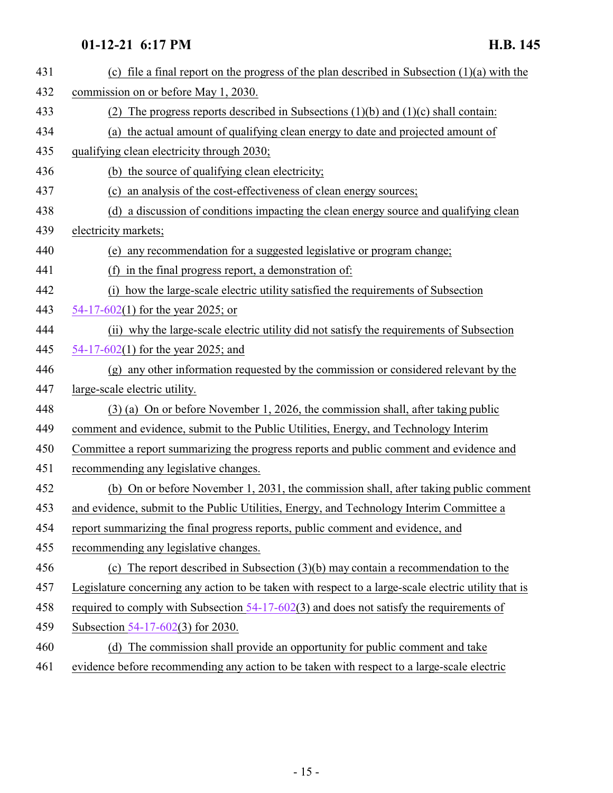| 431 | (c) file a final report on the progress of the plan described in Subsection $(1)(a)$ with the        |
|-----|------------------------------------------------------------------------------------------------------|
| 432 | commission on or before May 1, 2030.                                                                 |
| 433 | The progress reports described in Subsections $(1)(b)$ and $(1)(c)$ shall contain:<br>(2)            |
| 434 | (a) the actual amount of qualifying clean energy to date and projected amount of                     |
| 435 | qualifying clean electricity through 2030;                                                           |
| 436 | (b) the source of qualifying clean electricity;                                                      |
| 437 | (c) an analysis of the cost-effectiveness of clean energy sources;                                   |
| 438 | (d) a discussion of conditions impacting the clean energy source and qualifying clean                |
| 439 | electricity markets;                                                                                 |
| 440 | (e) any recommendation for a suggested legislative or program change;                                |
| 441 | (f) in the final progress report, a demonstration of:                                                |
| 442 | (i) how the large-scale electric utility satisfied the requirements of Subsection                    |
| 443 | 54-17-602(1) for the year 2025; or                                                                   |
| 444 | (ii) why the large-scale electric utility did not satisfy the requirements of Subsection             |
| 445 | 54-17-602(1) for the year 2025; and                                                                  |
| 446 | (g) any other information requested by the commission or considered relevant by the                  |
| 447 | large-scale electric utility.                                                                        |
| 448 | $(3)$ (a) On or before November 1, 2026, the commission shall, after taking public                   |
| 449 | comment and evidence, submit to the Public Utilities, Energy, and Technology Interim                 |
| 450 | Committee a report summarizing the progress reports and public comment and evidence and              |
| 451 | recommending any legislative changes.                                                                |
| 452 | (b) On or before November 1, 2031, the commission shall, after taking public comment                 |
| 453 | and evidence, submit to the Public Utilities, Energy, and Technology Interim Committee a             |
| 454 | report summarizing the final progress reports, public comment and evidence, and                      |
| 455 | recommending any legislative changes.                                                                |
| 456 | (c) The report described in Subsection $(3)(b)$ may contain a recommendation to the                  |
| 457 | Legislature concerning any action to be taken with respect to a large-scale electric utility that is |
| 458 | required to comply with Subsection $54-17-602(3)$ and does not satisfy the requirements of           |
| 459 | Subsection 54-17-602(3) for 2030.                                                                    |
| 460 | (d) The commission shall provide an opportunity for public comment and take                          |
| 461 | evidence before recommending any action to be taken with respect to a large-scale electric           |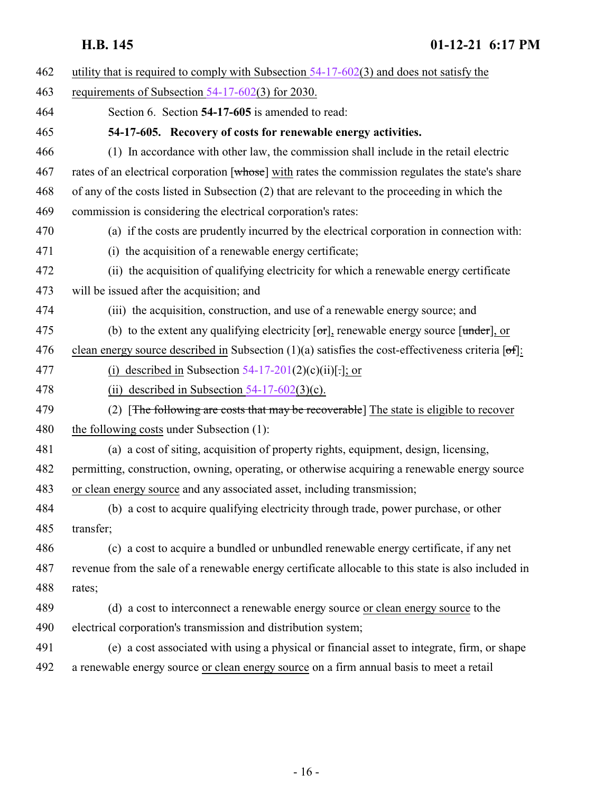<span id="page-15-0"></span>

| 462 | utility that is required to comply with Subsection $54-17-602(3)$ and does not satisfy the           |
|-----|------------------------------------------------------------------------------------------------------|
| 463 | requirements of Subsection $54-17-602(3)$ for 2030.                                                  |
| 464 | Section 6. Section 54-17-605 is amended to read:                                                     |
| 465 | 54-17-605. Recovery of costs for renewable energy activities.                                        |
| 466 | (1) In accordance with other law, the commission shall include in the retail electric                |
| 467 | rates of an electrical corporation [whose] with rates the commission regulates the state's share     |
| 468 | of any of the costs listed in Subsection (2) that are relevant to the proceeding in which the        |
| 469 | commission is considering the electrical corporation's rates:                                        |
| 470 | (a) if the costs are prudently incurred by the electrical corporation in connection with:            |
| 471 | (i) the acquisition of a renewable energy certificate;                                               |
| 472 | (ii) the acquisition of qualifying electricity for which a renewable energy certificate              |
| 473 | will be issued after the acquisition; and                                                            |
| 474 | (iii) the acquisition, construction, and use of a renewable energy source; and                       |
| 475 | (b) to the extent any qualifying electricity $\sigma$ , renewable energy source $\sigma$ , or        |
| 476 | clean energy source described in Subsection $(1)(a)$ satisfies the cost-effectiveness criteria [of]: |
| 477 | (i) described in Subsection $54-17-201(2)(c)(ii)[.];$ or                                             |
| 478 | (ii) described in Subsection $54-17-602(3)$ (c).                                                     |
| 479 | (2) [The following are costs that may be recoverable] The state is eligible to recover               |
| 480 | the following costs under Subsection (1):                                                            |
| 481 | (a) a cost of siting, acquisition of property rights, equipment, design, licensing,                  |
| 482 | permitting, construction, owning, operating, or otherwise acquiring a renewable energy source        |
| 483 | or clean energy source and any associated asset, including transmission;                             |
| 484 | (b) a cost to acquire qualifying electricity through trade, power purchase, or other                 |
| 485 | transfer;                                                                                            |
| 486 | (c) a cost to acquire a bundled or unbundled renewable energy certificate, if any net                |
| 487 | revenue from the sale of a renewable energy certificate allocable to this state is also included in  |
| 488 | rates;                                                                                               |
| 489 | (d) a cost to interconnect a renewable energy source or clean energy source to the                   |
| 490 | electrical corporation's transmission and distribution system;                                       |
| 491 | (e) a cost associated with using a physical or financial asset to integrate, firm, or shape          |
| 492 | a renewable energy source or clean energy source on a firm annual basis to meet a retail             |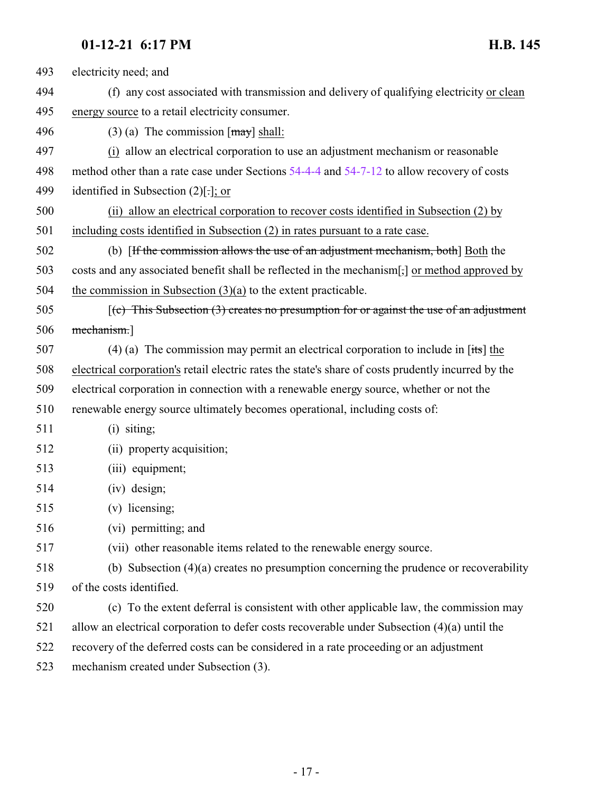| 493 | electricity need; and                                                                               |
|-----|-----------------------------------------------------------------------------------------------------|
| 494 | (f) any cost associated with transmission and delivery of qualifying electricity or clean           |
| 495 | energy source to a retail electricity consumer.                                                     |
| 496 | $(3)$ (a) The commission $\lceil \frac{may}{day} \rceil$ shall:                                     |
| 497 | (i) allow an electrical corporation to use an adjustment mechanism or reasonable                    |
| 498 | method other than a rate case under Sections 54-4-4 and 54-7-12 to allow recovery of costs          |
| 499 | identified in Subsection $(2)[.]$ ; or                                                              |
| 500 | (ii) allow an electrical corporation to recover costs identified in Subsection (2) by               |
| 501 | including costs identified in Subsection $(2)$ in rates pursuant to a rate case.                    |
| 502 | (b) [If the commission allows the use of an adjustment mechanism, both] Both the                    |
| 503 | costs and any associated benefit shall be reflected in the mechanism[,] or method approved by       |
| 504 | the commission in Subsection $(3)(a)$ to the extent practicable.                                    |
| 505 | $(c)$ This Subsection (3) creates no presumption for or against the use of an adjustment            |
| 506 | mechanism.]                                                                                         |
| 507 | (4) (a) The commission may permit an electrical corporation to include in $[its]$ the               |
| 508 | electrical corporation's retail electric rates the state's share of costs prudently incurred by the |
| 509 | electrical corporation in connection with a renewable energy source, whether or not the             |
| 510 | renewable energy source ultimately becomes operational, including costs of:                         |
| 511 | $(i)$ siting;                                                                                       |
| 512 | (ii) property acquisition;                                                                          |
| 513 | (iii) equipment;                                                                                    |
| 514 | (iv) design;                                                                                        |
| 515 | $(v)$ licensing;                                                                                    |
| 516 | (vi) permitting; and                                                                                |
| 517 | (vii) other reasonable items related to the renewable energy source.                                |
| 518 | (b) Subsection $(4)(a)$ creates no presumption concerning the prudence or recoverability            |
| 519 | of the costs identified.                                                                            |
| 520 | (c) To the extent deferral is consistent with other applicable law, the commission may              |
| 521 | allow an electrical corporation to defer costs recoverable under Subsection (4)(a) until the        |
| 522 | recovery of the deferred costs can be considered in a rate proceeding or an adjustment              |
| 523 | mechanism created under Subsection (3).                                                             |